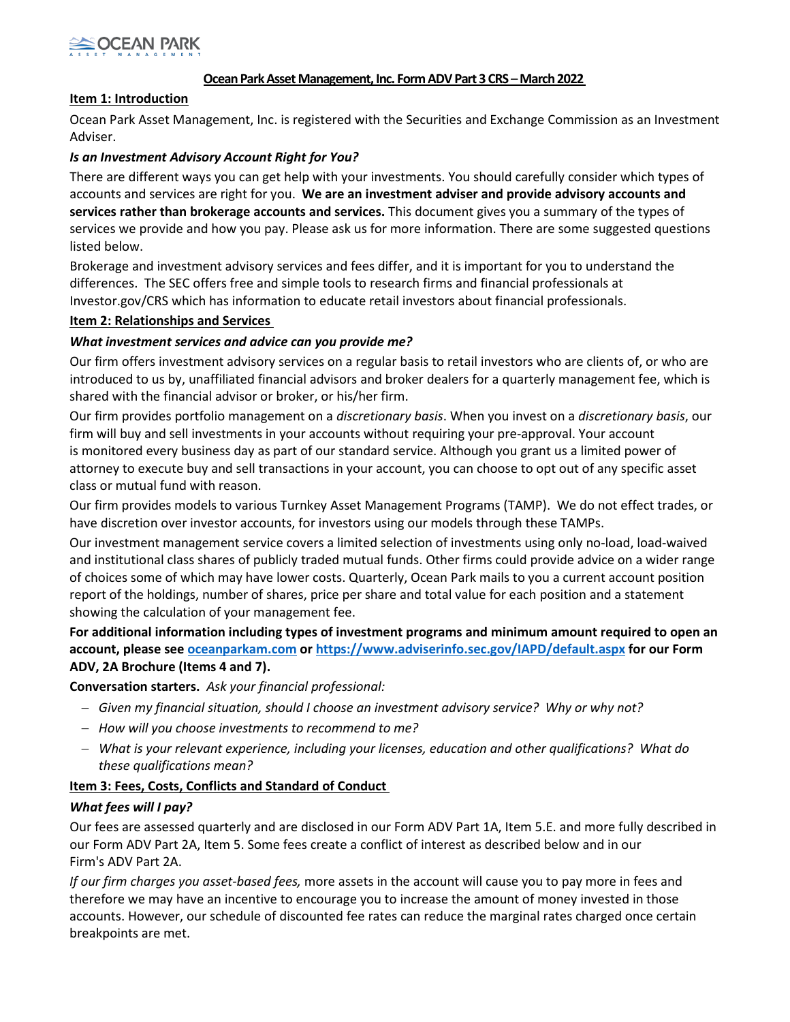

## **Ocean Park Asset Management, Inc. Form ADV Part 3 CRS - March 2022**

#### **Item 1: Introduction**

Ocean Park Asset Management, Inc. is registered with the Securities and Exchange Commission as an Investment Adviser.

#### *Is an Investment Advisory Account Right for You?*

There are different ways you can get help with your investments. You should carefully consider which types of accounts and services are right for you. **We are an investment adviser and provide advisory accounts and services rather than brokerage accounts and services.** This document gives you a summary of the types of services we provide and how you pay. Please ask us for more information. There are some suggested questions listed below.

Brokerage and investment advisory services and fees differ, and it is important for you to understand the differences.  The SEC offers free and simple tools to research firms and financial professionals at Investor.gov/CRS which has information to educate retail investors about financial professionals.

#### **Item 2: Relationships and Services**

#### *What investment services and advice can you provide me?*

Our firm offers investment advisory services on a regular basis to retail investors who are clients of, or who are introduced to us by, unaffiliated financial advisors and broker dealers for a quarterly management fee, which is shared with the financial advisor or broker, or his/her firm.

Our firm provides portfolio management on a *discretionary basis*. When you invest on a *discretionary basis*, our firm will buy and sell investments in your accounts without requiring your pre-approval. Your account is monitored every business day as part of our standard service. Although you grant us a limited power of attorney to execute buy and sell transactions in your account, you can choose to opt out of any specific asset class or mutual fund with reason.

Our firm provides models to various Turnkey Asset Management Programs (TAMP). We do not effect trades, or have discretion over investor accounts, for investors using our models through these TAMPs.

Our investment management service covers a limited selection of investments using only no-load, load-waived and institutional class shares of publicly traded mutual funds. Other firms could provide advice on a wider range of choices some of which may have lower costs. Quarterly, Ocean Park mails to you a current account position report of the holdings, number of shares, price per share and total value for each position and a statement showing the calculation of your management fee.

**For additional information including types of investment programs and minimum amount required to open an account, please see [oceanparkam.com](https://www.oceanparkam.com/) or<https://www.adviserinfo.sec.gov/IAPD/default.aspx> for our Form ADV, 2A Brochure (Items 4 and 7).**

**Conversation starters.***Ask your financial professional:*

- − *Given my financial situation, should I choose an investment advisory service?  Why or why not?*
- − *How will you choose investments to recommend to me?*
- − *What is your relevant experience, including your licenses, education and other qualifications?  What do these qualifications mean?*

#### **Item 3: Fees, Costs, Conflicts and Standard of Conduct**

## *What fees will I pay?*

Our fees are assessed quarterly and are disclosed in our Form ADV Part 1A, Item 5.E. and more fully described in our Form ADV Part 2A, Item 5. Some fees create a conflict of interest as described below and in our Firm's ADV Part 2A.

*If our firm charges you asset-based fees,* more assets in the account will cause you to pay more in fees and therefore we may have an incentive to encourage you to increase the amount of money invested in those accounts. However, our schedule of discounted fee rates can reduce the marginal rates charged once certain breakpoints are met.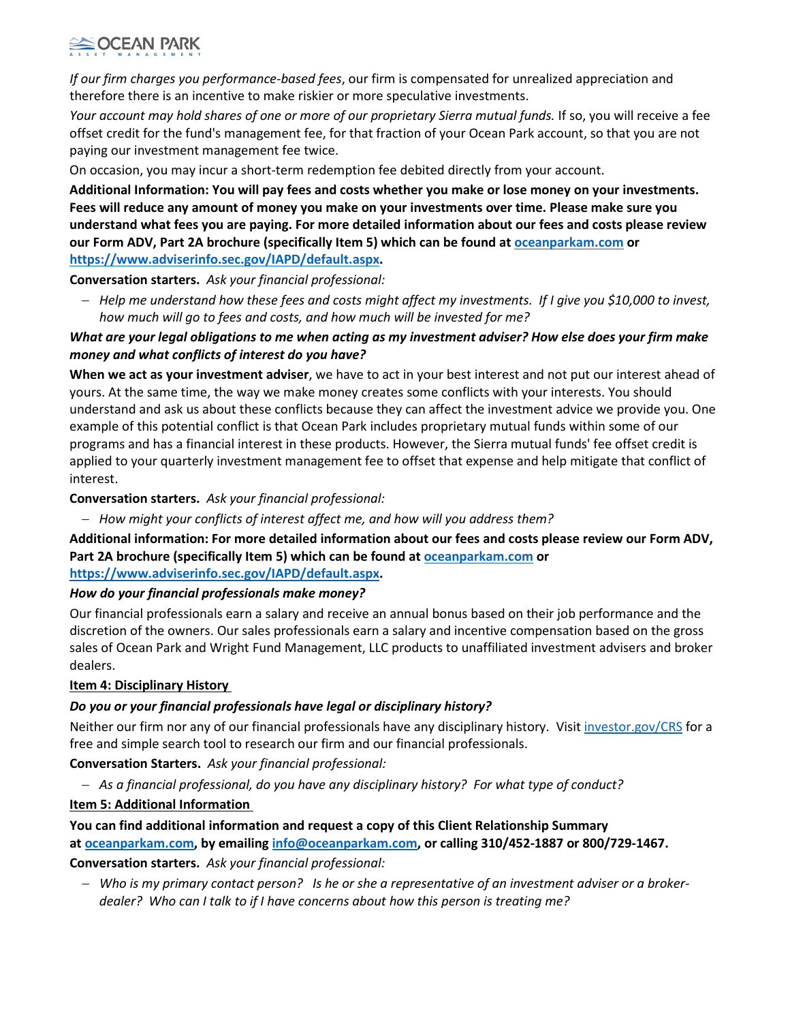# **OCEAN PARK**

*If our firm charges you performance-based fees*, our firm is compensated for unrealized appreciation and therefore there is an incentive to make riskier or more speculative investments.

*Your account may hold shares of one or more of our proprietary Sierra mutual funds.* If so, you will receive a fee offset credit for the fund's management fee, for that fraction of your Ocean Park account, so that you are not paying our investment management fee twice.

On occasion, you may incur a short-term redemption fee debited directly from your account.

**Additional Information: You will pay fees and costs whether you make or lose money on your investments. Fees will reduce any amount of money you make on your investments over time. Please make sure you understand what fees you are paying. For more detailed information about our fees and costs please review our Form ADV, Part 2A brochure (specifically Item 5) which can be found at [oceanparkam.com](http://www.oceanparkam.com/) or [https://www.adviserinfo.sec.gov/IAPD/default.aspx.](https://www.adviserinfo.sec.gov/IAPD/default.aspx)**

**Conversation starters.***Ask your financial professional:*

− *Help me understand how these fees and costs might affect my investments.  If I give you \$10,000 to invest, how much will go to fees and costs, and how much will be invested for me?*

# *What are your legal obligations to me when acting as my investment adviser? How else does your firm make money and what conflicts of interest do you have?*

**When we act as your investment adviser**, we have to act in your best interest and not put our interest ahead of yours. At the same time, the way we make money creates some conflicts with your interests. You should understand and ask us about these conflicts because they can affect the investment advice we provide you. One example of this potential conflict is that Ocean Park includes proprietary mutual funds within some of our programs and has a financial interest in these products. However, the Sierra mutual funds' fee offset credit is applied to your quarterly investment management fee to offset that expense and help mitigate that conflict of interest.

# **Conversation starters.***Ask your financial professional:*

− *How might your conflicts of interest affect me, and how will you address them?*

**Additional information: For more detailed information about our fees and costs please review our Form ADV, Part 2A brochure (specifically Item 5) which can be found at [oceanparkam.com](http://www.oceanparkam.com/) or** 

# **[https://www.adviserinfo.sec.gov/IAPD/default.aspx.](https://www.adviserinfo.sec.gov/IAPD/default.aspx)**

# *How do your financial professionals make money?*

Our financial professionals earn a salary and receive an annual bonus based on their job performance and the discretion of the owners. Our sales professionals earn a salary and incentive compensation based on the gross sales of Ocean Park and Wright Fund Management, LLC products to unaffiliated investment advisers and broker dealers.

# **Item 4: Disciplinary History**

# *Do you or your financial professionals have legal or disciplinary history?*

Neither our firm nor any of our financial professionals have any disciplinary history. Visit [investor.gov/CRS](http://investor.gov/CRS) for a free and simple search tool to research our firm and our financial professionals.

**Conversation Starters.***Ask your financial professional:*

− *As a financial professional, do you have any disciplinary history?  For what type of conduct?*

# **Item 5: Additional Information**

# **You can find additional information and request a copy of this Client Relationship Summary at [oceanparkam.com,](http://www.oceanparkam.com/) by emailing [info@oceanparkam.com,](mailto:info@oceanparkam.com) or calling 310/452-1887 or 800/729-1467. Conversation starters.***Ask your financial professional:*

− *Who is my primary contact person?   Is he or she a representative of an investment adviser or a brokerdealer?  Who can I talk to if I have concerns about how this person is treating me?*